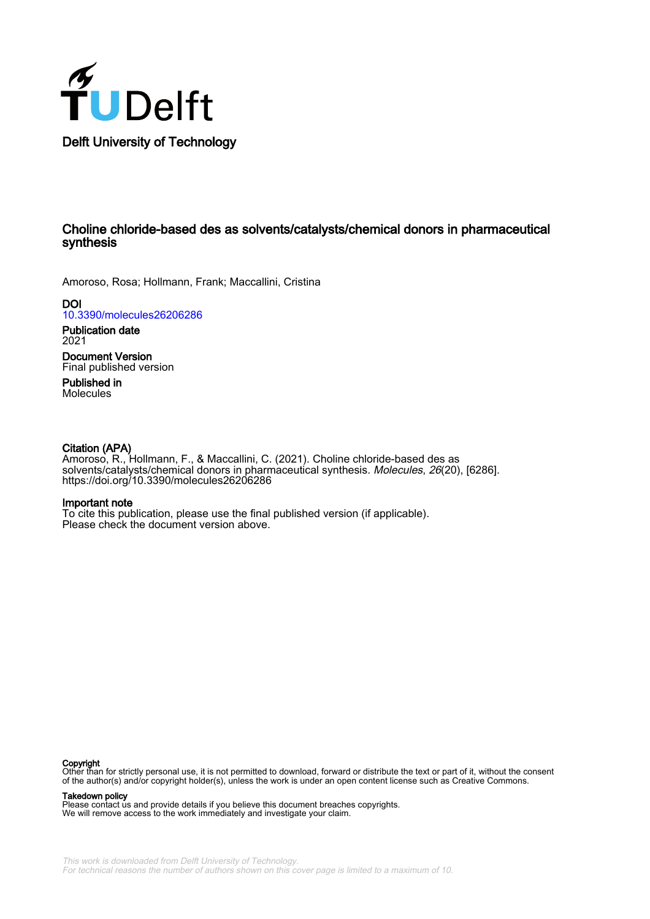

## Choline chloride-based des as solvents/catalysts/chemical donors in pharmaceutical synthesis

Amoroso, Rosa; Hollmann, Frank; Maccallini, Cristina

**DOI** [10.3390/molecules26206286](https://doi.org/10.3390/molecules26206286)

Publication date 2021

Document Version Final published version

Published in Molecules

#### Citation (APA)

Amoroso, R., Hollmann, F., & Maccallini, C. (2021). Choline chloride-based des as solvents/catalysts/chemical donors in pharmaceutical synthesis. Molecules, 26(20), [6286]. <https://doi.org/10.3390/molecules26206286>

#### Important note

To cite this publication, please use the final published version (if applicable). Please check the document version above.

#### Copyright

Other than for strictly personal use, it is not permitted to download, forward or distribute the text or part of it, without the consent of the author(s) and/or copyright holder(s), unless the work is under an open content license such as Creative Commons.

#### Takedown policy

Please contact us and provide details if you believe this document breaches copyrights. We will remove access to the work immediately and investigate your claim.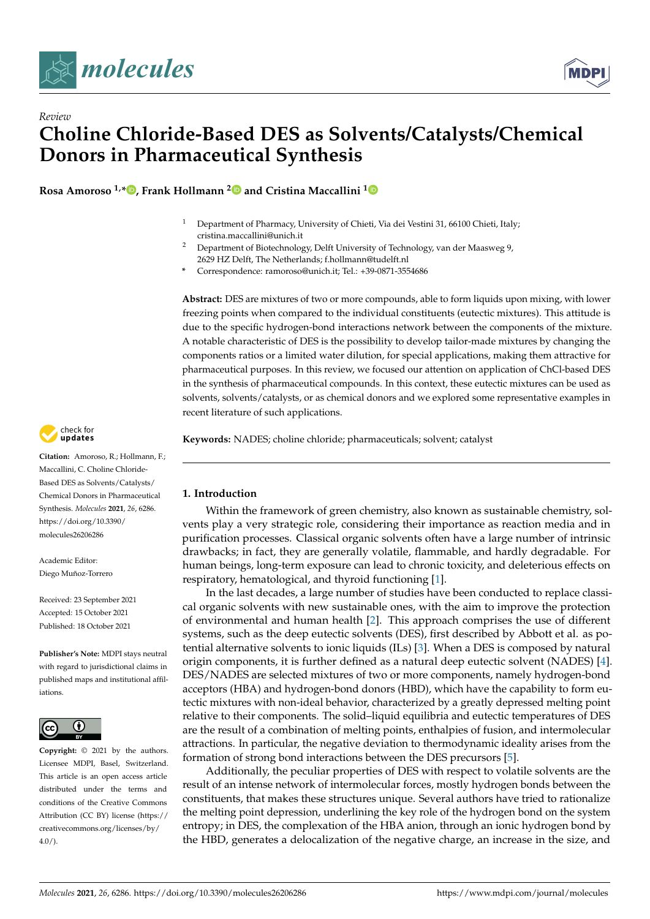

*Review*



# **Choline Chloride-Based DES as Solvents/Catalysts/Chemical Donors in Pharmaceutical Synthesis**

**Rosa Amoroso 1,\* [,](https://orcid.org/0000-0002-8282-8535) Frank Hollmann [2](https://orcid.org/0000-0003-4821-756X) and Cristina Maccallini [1](https://orcid.org/0000-0003-2957-8650)**

- <sup>1</sup> Department of Pharmacy, University of Chieti, Via dei Vestini 31, 66100 Chieti, Italy; cristina.maccallini@unich.it
- <sup>2</sup> Department of Biotechnology, Delft University of Technology, van der Maasweg 9, 2629 HZ Delft, The Netherlands; f.hollmann@tudelft.nl
- **\*** Correspondence: ramoroso@unich.it; Tel.: +39-0871-3554686

**Abstract:** DES are mixtures of two or more compounds, able to form liquids upon mixing, with lower freezing points when compared to the individual constituents (eutectic mixtures). This attitude is due to the specific hydrogen-bond interactions network between the components of the mixture. A notable characteristic of DES is the possibility to develop tailor-made mixtures by changing the components ratios or a limited water dilution, for special applications, making them attractive for pharmaceutical purposes. In this review, we focused our attention on application of ChCl-based DES in the synthesis of pharmaceutical compounds. In this context, these eutectic mixtures can be used as solvents, solvents/catalysts, or as chemical donors and we explored some representative examples in recent literature of such applications.

**Keywords:** NADES; choline chloride; pharmaceuticals; solvent; catalyst



**Citation:** Amoroso, R.; Hollmann, F.; Maccallini, C. Choline Chloride-Based DES as Solvents/Catalysts/ Chemical Donors in Pharmaceutical Synthesis. *Molecules* **2021**, *26*, 6286. [https://doi.org/10.3390/](https://doi.org/10.3390/molecules26206286) [molecules26206286](https://doi.org/10.3390/molecules26206286)

Academic Editor: Diego Muñoz-Torrero

Received: 23 September 2021 Accepted: 15 October 2021 Published: 18 October 2021

**Publisher's Note:** MDPI stays neutral with regard to jurisdictional claims in published maps and institutional affiliations.



**Copyright:** © 2021 by the authors. Licensee MDPI, Basel, Switzerland. This article is an open access article distributed under the terms and conditions of the Creative Commons Attribution (CC BY) license (https:/[/](https://creativecommons.org/licenses/by/4.0/) [creativecommons.org/licenses/by/](https://creativecommons.org/licenses/by/4.0/)  $4.0/$ ).

#### **1. Introduction**

Within the framework of green chemistry, also known as sustainable chemistry, solvents play a very strategic role, considering their importance as reaction media and in purification processes. Classical organic solvents often have a large number of intrinsic drawbacks; in fact, they are generally volatile, flammable, and hardly degradable. For human beings, long-term exposure can lead to chronic toxicity, and deleterious effects on respiratory, hematological, and thyroid functioning [\[1\]](#page-12-0).

In the last decades, a large number of studies have been conducted to replace classical organic solvents with new sustainable ones, with the aim to improve the protection of environmental and human health [\[2\]](#page-12-1). This approach comprises the use of different systems, such as the deep eutectic solvents (DES), first described by Abbott et al. as potential alternative solvents to ionic liquids (ILs) [\[3\]](#page-12-2). When a DES is composed by natural origin components, it is further defined as a natural deep eutectic solvent (NADES) [\[4\]](#page-12-3). DES/NADES are selected mixtures of two or more components, namely hydrogen-bond acceptors (HBA) and hydrogen-bond donors (HBD), which have the capability to form eutectic mixtures with non-ideal behavior, characterized by a greatly depressed melting point relative to their components. The solid–liquid equilibria and eutectic temperatures of DES are the result of a combination of melting points, enthalpies of fusion, and intermolecular attractions. In particular, the negative deviation to thermodynamic ideality arises from the formation of strong bond interactions between the DES precursors [\[5\]](#page-12-4).

Additionally, the peculiar properties of DES with respect to volatile solvents are the result of an intense network of intermolecular forces, mostly hydrogen bonds between the constituents, that makes these structures unique. Several authors have tried to rationalize the melting point depression, underlining the key role of the hydrogen bond on the system entropy; in DES, the complexation of the HBA anion, through an ionic hydrogen bond by the HBD, generates a delocalization of the negative charge, an increase in the size, and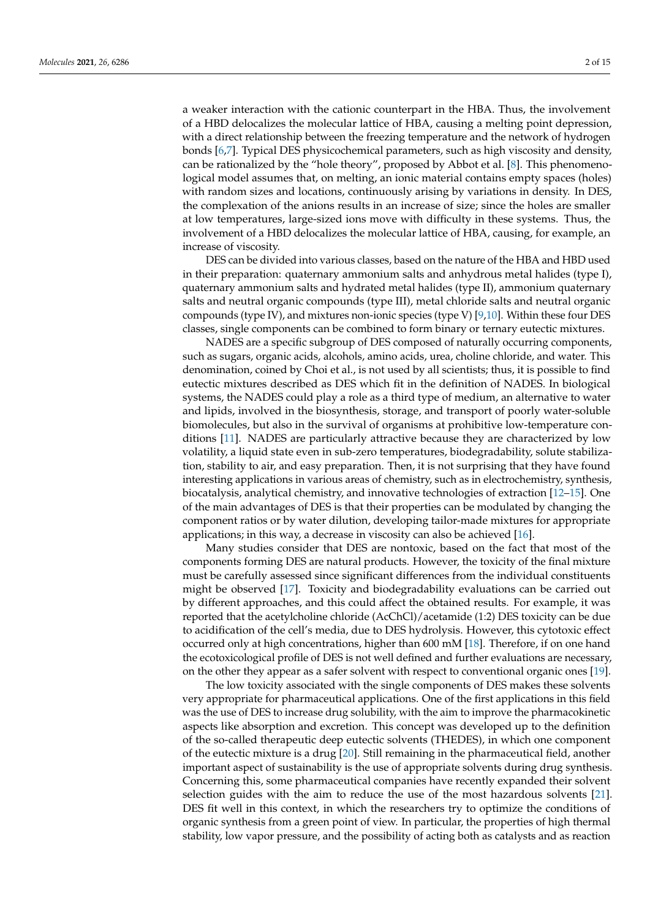a weaker interaction with the cationic counterpart in the HBA. Thus, the involvement of a HBD delocalizes the molecular lattice of HBA, causing a melting point depression, with a direct relationship between the freezing temperature and the network of hydrogen bonds [\[6,](#page-12-5)[7\]](#page-12-6). Typical DES physicochemical parameters, such as high viscosity and density, can be rationalized by the "hole theory", proposed by Abbot et al. [\[8\]](#page-12-7). This phenomenological model assumes that, on melting, an ionic material contains empty spaces (holes) with random sizes and locations, continuously arising by variations in density. In DES, the complexation of the anions results in an increase of size; since the holes are smaller at low temperatures, large-sized ions move with difficulty in these systems. Thus, the involvement of a HBD delocalizes the molecular lattice of HBA, causing, for example, an increase of viscosity.

DES can be divided into various classes, based on the nature of the HBA and HBD used in their preparation: quaternary ammonium salts and anhydrous metal halides (type I), quaternary ammonium salts and hydrated metal halides (type II), ammonium quaternary salts and neutral organic compounds (type III), metal chloride salts and neutral organic compounds (type IV), and mixtures non-ionic species (type V) [\[9,](#page-12-8)[10\]](#page-12-9). Within these four DES classes, single components can be combined to form binary or ternary eutectic mixtures.

NADES are a specific subgroup of DES composed of naturally occurring components, such as sugars, organic acids, alcohols, amino acids, urea, choline chloride, and water. This denomination, coined by Choi et al., is not used by all scientists; thus, it is possible to find eutectic mixtures described as DES which fit in the definition of NADES. In biological systems, the NADES could play a role as a third type of medium, an alternative to water and lipids, involved in the biosynthesis, storage, and transport of poorly water-soluble biomolecules, but also in the survival of organisms at prohibitive low-temperature conditions [\[11\]](#page-12-10). NADES are particularly attractive because they are characterized by low volatility, a liquid state even in sub-zero temperatures, biodegradability, solute stabilization, stability to air, and easy preparation. Then, it is not surprising that they have found interesting applications in various areas of chemistry, such as in electrochemistry, synthesis, biocatalysis, analytical chemistry, and innovative technologies of extraction [\[12–](#page-12-11)[15\]](#page-12-12). One of the main advantages of DES is that their properties can be modulated by changing the component ratios or by water dilution, developing tailor-made mixtures for appropriate applications; in this way, a decrease in viscosity can also be achieved [\[16\]](#page-12-13).

Many studies consider that DES are nontoxic, based on the fact that most of the components forming DES are natural products. However, the toxicity of the final mixture must be carefully assessed since significant differences from the individual constituents might be observed [\[17\]](#page-12-14). Toxicity and biodegradability evaluations can be carried out by different approaches, and this could affect the obtained results. For example, it was reported that the acetylcholine chloride (AcChCl)/acetamide (1:2) DES toxicity can be due to acidification of the cell's media, due to DES hydrolysis. However, this cytotoxic effect occurred only at high concentrations, higher than 600 mM [\[18\]](#page-12-15). Therefore, if on one hand the ecotoxicological profile of DES is not well defined and further evaluations are necessary, on the other they appear as a safer solvent with respect to conventional organic ones [\[19\]](#page-12-16).

The low toxicity associated with the single components of DES makes these solvents very appropriate for pharmaceutical applications. One of the first applications in this field was the use of DES to increase drug solubility, with the aim to improve the pharmacokinetic aspects like absorption and excretion. This concept was developed up to the definition of the so-called therapeutic deep eutectic solvents (THEDES), in which one component of the eutectic mixture is a drug [\[20\]](#page-12-17). Still remaining in the pharmaceutical field, another important aspect of sustainability is the use of appropriate solvents during drug synthesis. Concerning this, some pharmaceutical companies have recently expanded their solvent selection guides with the aim to reduce the use of the most hazardous solvents [\[21\]](#page-13-0). DES fit well in this context, in which the researchers try to optimize the conditions of organic synthesis from a green point of view. In particular, the properties of high thermal stability, low vapor pressure, and the possibility of acting both as catalysts and as reaction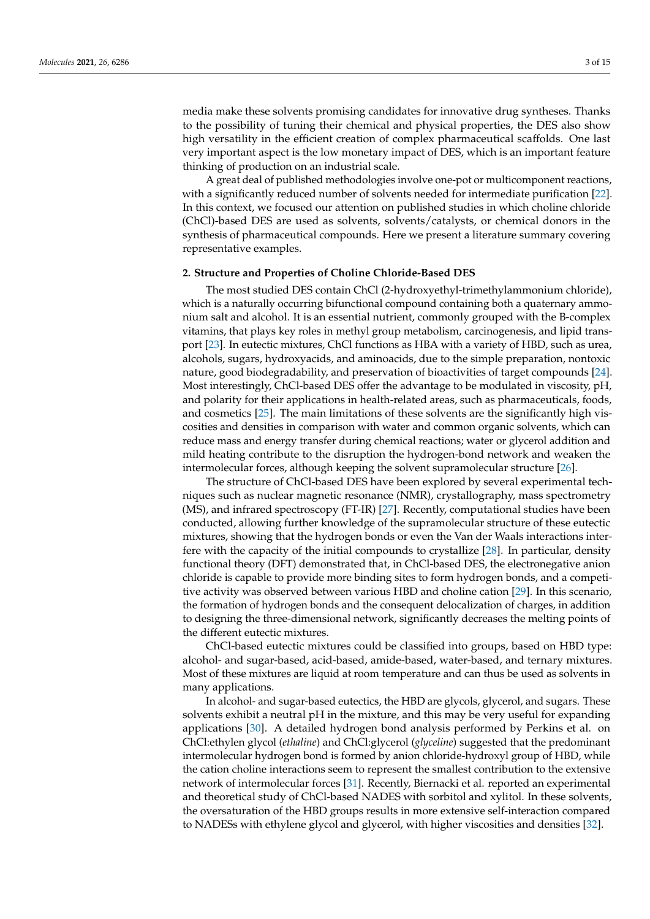media make these solvents promising candidates for innovative drug syntheses. Thanks to the possibility of tuning their chemical and physical properties, the DES also show high versatility in the efficient creation of complex pharmaceutical scaffolds. One last very important aspect is the low monetary impact of DES, which is an important feature thinking of production on an industrial scale.

A great deal of published methodologies involve one-pot or multicomponent reactions, with a significantly reduced number of solvents needed for intermediate purification [\[22\]](#page-13-1). In this context, we focused our attention on published studies in which choline chloride (ChCl)-based DES are used as solvents, solvents/catalysts, or chemical donors in the synthesis of pharmaceutical compounds. Here we present a literature summary covering representative examples.

## **2. Structure and Properties of Choline Chloride-Based DES**

The most studied DES contain ChCl (2-hydroxyethyl-trimethylammonium chloride), which is a naturally occurring bifunctional compound containing both a quaternary ammonium salt and alcohol. It is an essential nutrient, commonly grouped with the B-complex vitamins, that plays key roles in methyl group metabolism, carcinogenesis, and lipid transport [\[23\]](#page-13-2). In eutectic mixtures, ChCl functions as HBA with a variety of HBD, such as urea, alcohols, sugars, hydroxyacids, and aminoacids, due to the simple preparation, nontoxic nature, good biodegradability, and preservation of bioactivities of target compounds [\[24\]](#page-13-3). Most interestingly, ChCl-based DES offer the advantage to be modulated in viscosity, pH, and polarity for their applications in health-related areas, such as pharmaceuticals, foods, and cosmetics [\[25\]](#page-13-4). The main limitations of these solvents are the significantly high viscosities and densities in comparison with water and common organic solvents, which can reduce mass and energy transfer during chemical reactions; water or glycerol addition and mild heating contribute to the disruption the hydrogen-bond network and weaken the intermolecular forces, although keeping the solvent supramolecular structure [\[26\]](#page-13-5).

The structure of ChCl-based DES have been explored by several experimental techniques such as nuclear magnetic resonance (NMR), crystallography, mass spectrometry (MS), and infrared spectroscopy (FT-IR) [\[27\]](#page-13-6). Recently, computational studies have been conducted, allowing further knowledge of the supramolecular structure of these eutectic mixtures, showing that the hydrogen bonds or even the Van der Waals interactions interfere with the capacity of the initial compounds to crystallize [\[28\]](#page-13-7). In particular, density functional theory (DFT) demonstrated that, in ChCl-based DES, the electronegative anion chloride is capable to provide more binding sites to form hydrogen bonds, and a competitive activity was observed between various HBD and choline cation [\[29\]](#page-13-8). In this scenario, the formation of hydrogen bonds and the consequent delocalization of charges, in addition to designing the three-dimensional network, significantly decreases the melting points of the different eutectic mixtures.

ChCl-based eutectic mixtures could be classified into groups, based on HBD type: alcohol- and sugar-based, acid-based, amide-based, water-based, and ternary mixtures. Most of these mixtures are liquid at room temperature and can thus be used as solvents in many applications.

In alcohol- and sugar-based eutectics, the HBD are glycols, glycerol, and sugars. These solvents exhibit a neutral pH in the mixture, and this may be very useful for expanding applications [\[30\]](#page-13-9). A detailed hydrogen bond analysis performed by Perkins et al. on ChCl:ethylen glycol (*ethaline*) and ChCl:glycerol (*glyceline*) suggested that the predominant intermolecular hydrogen bond is formed by anion chloride-hydroxyl group of HBD, while the cation choline interactions seem to represent the smallest contribution to the extensive network of intermolecular forces [\[31\]](#page-13-10). Recently, Biernacki et al. reported an experimental and theoretical study of ChCl-based NADES with sorbitol and xylitol. In these solvents, the oversaturation of the HBD groups results in more extensive self-interaction compared to NADESs with ethylene glycol and glycerol, with higher viscosities and densities [\[32\]](#page-13-11).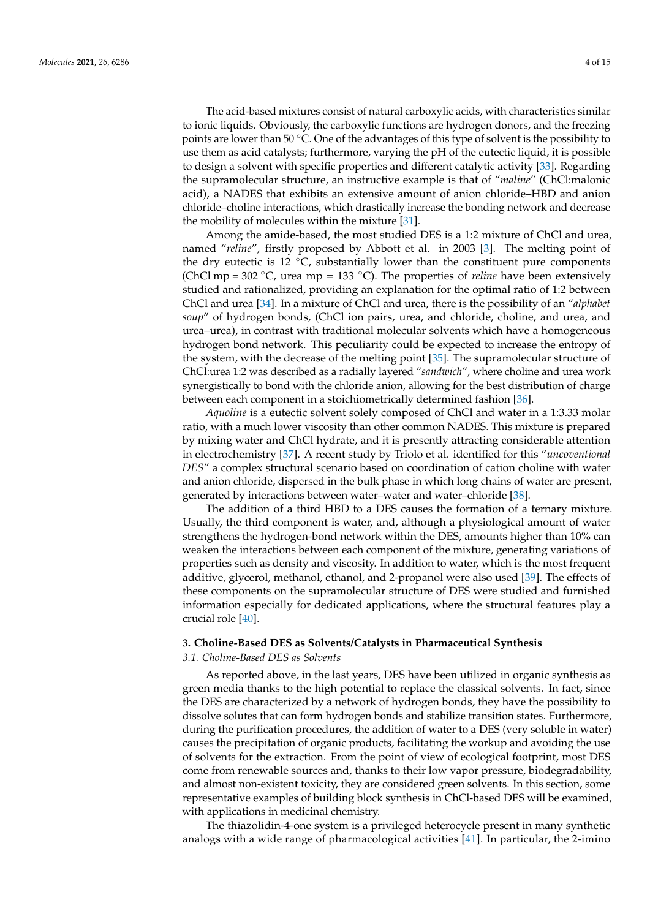The acid-based mixtures consist of natural carboxylic acids, with characteristics similar to ionic liquids. Obviously, the carboxylic functions are hydrogen donors, and the freezing points are lower than 50  $\degree$ C. One of the advantages of this type of solvent is the possibility to use them as acid catalysts; furthermore, varying the pH of the eutectic liquid, it is possible to design a solvent with specific properties and different catalytic activity [\[33\]](#page-13-12). Regarding the supramolecular structure, an instructive example is that of "*maline*" (ChCl:malonic acid), a NADES that exhibits an extensive amount of anion chloride–HBD and anion chloride–choline interactions, which drastically increase the bonding network and decrease the mobility of molecules within the mixture [\[31\]](#page-13-10).

Among the amide-based, the most studied DES is a 1:2 mixture of ChCl and urea, named "*reline*", firstly proposed by Abbott et al. in 2003 [\[3\]](#page-12-2). The melting point of the dry eutectic is 12  $\degree$ C, substantially lower than the constituent pure components (ChCl mp = 302 ◦C, urea mp = 133 ◦C). The properties of *reline* have been extensively studied and rationalized, providing an explanation for the optimal ratio of 1:2 between ChCl and urea [\[34\]](#page-13-13). In a mixture of ChCl and urea, there is the possibility of an "*alphabet soup*" of hydrogen bonds, (ChCl ion pairs, urea, and chloride, choline, and urea, and urea–urea), in contrast with traditional molecular solvents which have a homogeneous hydrogen bond network. This peculiarity could be expected to increase the entropy of the system, with the decrease of the melting point [\[35\]](#page-13-14). The supramolecular structure of ChCl:urea 1:2 was described as a radially layered "*sandwich*", where choline and urea work synergistically to bond with the chloride anion, allowing for the best distribution of charge between each component in a stoichiometrically determined fashion [\[36\]](#page-13-15).

*Aquoline* is a eutectic solvent solely composed of ChCl and water in a 1:3.33 molar ratio, with a much lower viscosity than other common NADES. This mixture is prepared by mixing water and ChCl hydrate, and it is presently attracting considerable attention in electrochemistry [\[37\]](#page-13-16). A recent study by Triolo et al. identified for this "*uncoventional DES*" a complex structural scenario based on coordination of cation choline with water and anion chloride, dispersed in the bulk phase in which long chains of water are present, generated by interactions between water–water and water–chloride [\[38\]](#page-13-17).

The addition of a third HBD to a DES causes the formation of a ternary mixture. Usually, the third component is water, and, although a physiological amount of water strengthens the hydrogen-bond network within the DES, amounts higher than 10% can weaken the interactions between each component of the mixture, generating variations of properties such as density and viscosity. In addition to water, which is the most frequent additive, glycerol, methanol, ethanol, and 2-propanol were also used [\[39\]](#page-13-18). The effects of these components on the supramolecular structure of DES were studied and furnished information especially for dedicated applications, where the structural features play a crucial role [\[40\]](#page-13-19).

### **3. Choline-Based DES as Solvents/Catalysts in Pharmaceutical Synthesis**

#### *3.1. Choline-Based DES as Solvents*

As reported above, in the last years, DES have been utilized in organic synthesis as green media thanks to the high potential to replace the classical solvents. In fact, since the DES are characterized by a network of hydrogen bonds, they have the possibility to dissolve solutes that can form hydrogen bonds and stabilize transition states. Furthermore, during the purification procedures, the addition of water to a DES (very soluble in water) causes the precipitation of organic products, facilitating the workup and avoiding the use of solvents for the extraction. From the point of view of ecological footprint, most DES come from renewable sources and, thanks to their low vapor pressure, biodegradability, and almost non-existent toxicity, they are considered green solvents. In this section, some representative examples of building block synthesis in ChCl-based DES will be examined, with applications in medicinal chemistry.

The thiazolidin-4-one system is a privileged heterocycle present in many synthetic analogs with a wide range of pharmacological activities [\[41\]](#page-13-20). In particular, the 2-imino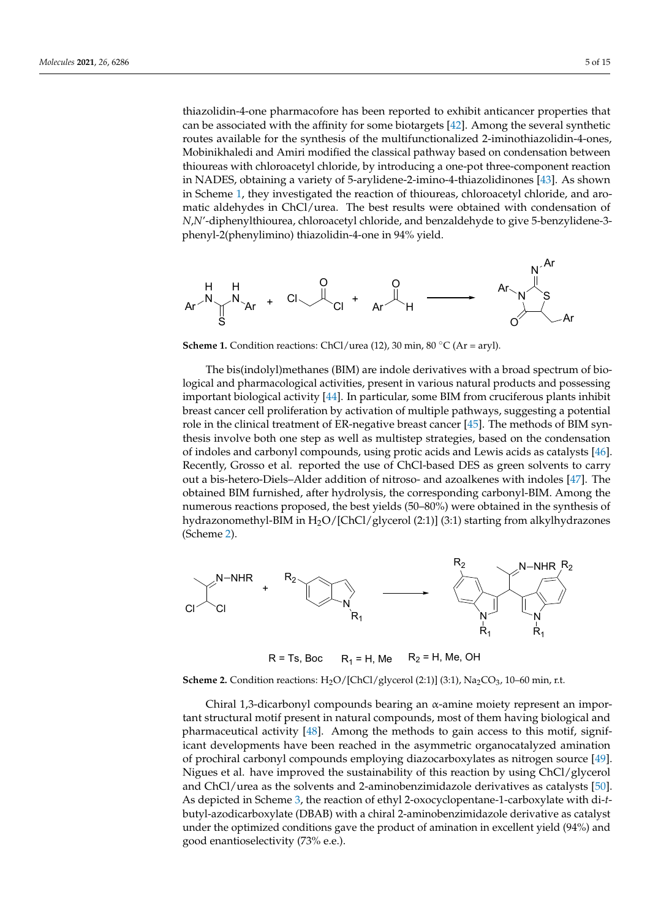thiazolidin-4-one pharmacofore has been reported to exhibit anticancer properties that can be associated with the affinity for some biotargets  $[42]$ . [Amo](#page-13-21)ng the several synthetic routes available for the synthesis of the multifunctionalized 2-iminothiazolidin-4-ones, Mobinikhaledi and Amiri modified the classical pathway based on condensation between thioureas with chloroacetyl chloride, by introducing a one-pot three-component reaction in NADES, obtaining a variety of 5-arylidene-2-imino-4-thiazolidinones [\[43\]](#page-13-22). As shown in Scheme 1, [th](#page-5-0)ey investigated the reaction of thioureas, chloroacetyl chloride, and aromatic aldehydes in ChCl/urea. The best results were obtained with condensation of  $N$ , $N^\prime$ -diphenylthiourea, chloroacetyl chloride, and benzaldehyde to give 5-benzylidene-3phenyl-2(phenylimino) thiazolidin-4-one in 94% yield. 2(phenylimino) thiazolidin-4-one in 94% yield. 2(phenylimino) thiazolidin-4-one in 94% yield.

<span id="page-5-0"></span>

**Scheme 1.** Condition reactions: ChCl/urea (12), 30 min, 80  $^{\circ}$ C (Ar = aryl).

with a product and medicinal chemistry.

with a propositions in medicinal chemistry. The chemistry  $\mathcal{L}_\mathbf{z}$ 

The bis(indolyl)methanes (BIM) are indole derivatives with a broad spectrum of biological and pharmacological activities, present in various natural products and possessing important biological activity [\[44\]](#page-13-23). In particular, some BIM from cruciferous plants inhibit breast cancer cell proliferation by activation of multiple pathways, suggesting a potential role in the clinical treatment of ER-negative breast cancer [\[45\]](#page-13-24). The methods of BIM synthesis involve both one step as well as multistep strategies, based on the condensation indoles and carbonyl compounds, using protic acids and Lewis acids as catalysts [\[46\]](#page-13-25). indoles and carbonyl compounds, using protic acids and Lewis acids as catalysts [46]. of indoles and carbonyl compounds, using protic acids and Lewis acids as catalysts [46].<br>Recently, Grosso et al. reported the use of ChCl-based DES as green solvents to carry out a bis-hetero-Diels–Alder addition of nitroso- and azoalkenes with indoles [\[47\]](#page-13-26). The obtained BIM furnished, after hydrolysis, the corresponding carbonyl-BIM. Among the numerous reactions proposed, the best yields (50–80%) were obtained in the synthesis of hydrazonomethyl-BIM in H<sub>2</sub>O/[ChCl/glycerol (2:1)] (3:1) starting from alkylhydrazones (Scheme 2). (Scheme [2\)](#page-5-1). (Scheme 2).

<span id="page-5-1"></span>

 $R = Ts$ , Boc  $R_1 = H$ , Me  $R_2 = H$ , Me, OH

**Scheme 2.** Condition reactions:  $H_2O/[ChCl/glycerol (2:1)]$  (3:1),  $Na_2CO_3$ , 10-60 min, r.t.

Chiral 1,3-dicarbonyl compounds bearing an α-amine moiety represent an important structural motif present in natural compounds, most of them having biological and pharmaceutical activity [\[48\]](#page-13-27). Among the methods to gain access to this motif, significant developments have been reached in the asymmetric organocatalyzed amination of prochiral carbonyl compounds employing diazocarboxylates as nitrogen source [\[49\]](#page-14-0). Nigues et al. have improved the sustainability of this reaction by using ChCl/glycerol and ChCl/urea as the solvents and 2-aminobenzimidazole derivatives as catalysts [\[50\]](#page-14-1). As depicted in Scheme [3,](#page-6-0) the reaction of ethyl 2-oxocyclopentane-1-carboxylate with di-*t*butyl-azodicarboxylate (DBAB) with a chiral 2-aminobenzimidazole derivative as catalyst under the optimized conditions gave the product of amination in excellent yield (94%) and good enantioselectivity (73% e.e.).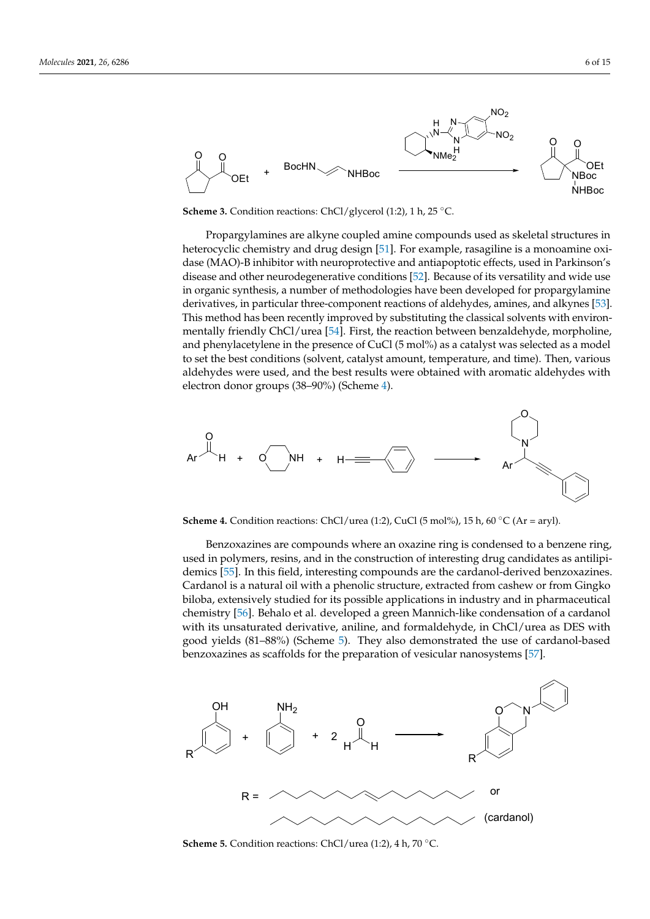<span id="page-6-0"></span>

timized conditions gave the product of amination in excellent  $\mathcal{A}$  and good enants  $\mathcal{A}$ 

**Scheme 3.** Condition reactions: ChCl/glycerol (1:2), 1 h, 25 °C.

Propargylamines are alkyne coupled amine compounds used as skeletal structures in heterocyclic chemistry and drug desi[gn \[](#page-14-2)51]. For example, rasagiline is a monoamine oxidase (MAO)-B inhibitor with neuroprotective and antiapoptotic effects, used in Parkinson's disease and other neurodegenerative [con](#page-14-3)ditions [52]. Because of its versatility and wide use in organic synthesis, a number of methodologies have been developed for propargylamine derivatives, in particular three-component reactions of aldehydes, amines, and alkynes [\[53\]](#page-14-4). This method has been recently improved by substituting the classical solvents with environ-mentally friendly ChCl/urea [\[54\]](#page-14-5). First, the reaction between benzaldehyde, morpholine, and phenylacetylene in the presence of CuCl (5 mol%) as a catalyst was selected as a model to set the best conditions (solvent, catalyst amount, temperature, and time). Then, various aldehydes were used, and the best results were obtained with aromatic aldehydes with e[lec](#page-6-1)tron donor groups (38–90%) (Scheme 4).

<span id="page-6-1"></span>

**Scheme 4.** Condition reactions: ChCl/urea (1:2), CuCl (5 mol%), 15 h, 60 °C (Ar = aryl).

Benzoxazines are compounds where an oxazine ring is condensed to a benzene ring, used in polymers, resins, and in the construction of interesting drug candidates as antilipi-demics [\[55\]](#page-14-6). In this field, interesting compounds are the cardanol-derived benzoxazines. Cardanol is a natural oil with a phenolic structure, extracted from cashew or from Gingko biloba, extensively studied for its possible applications in industry and in pharmaceutical chemistry [\[56\]](#page-14-7). Behalo et al. developed a green Mannich-like condensation of a cardanol with its unsaturated derivative, aniline, and formaldehyde, in ChCl/urea as DES with good yields (81-88%) (Scheme [5\).](#page-6-2) They also demonstrated the use of cardanol-based benzoxazines as scaffolds for the preparation of vesicular nanosystems [\[57\]](#page-14-8).

<span id="page-6-2"></span>

**Scheme 5.** Condition reactions: ChCl/urea (1:2), 4 h, 70 °C. **Scheme 5.** Condition reactions: ChCl/urea (1:2), 4 h, 70 °C.<br>
Scheme 5. Condition reactions: ChCl/urea (1:2), 4 h, 70 °C.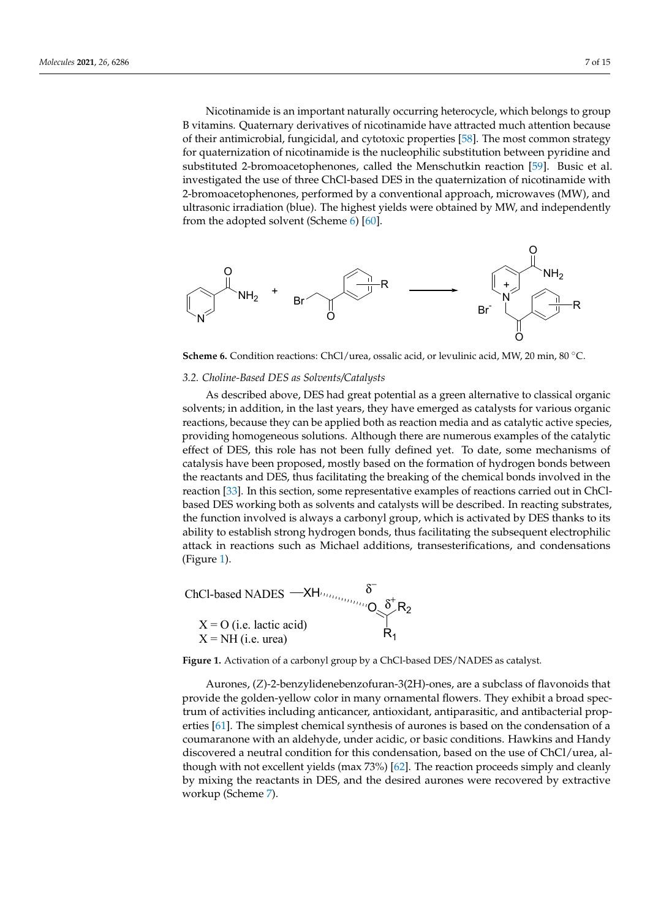Nicotinamide is an important naturally occurring heterocycle, which belongs to group B vitamins. Quaternary derivatives of nicotinamide have attracted much attention because of their antimicrobial, fungicidal, and cytotoxic properties [58]. The most common strategy for quaternization of nicotinamide is the nucleophilic substitution between pyridine and substituted 2-bromoacetophenones, called the Menschutkin reaction [\[59\]](#page-14-10). Busic et al. investigated the use of three ChCl-based DES in the quaternization of nicotinamide with 2-bromoacetophenones, performed by a conventional approach, microwaves (MW), and ultrasonic irradiation (blue). The highest yields were obtained by MW, and independently from the adopted solvent (Scheme  $6$ ) [\[60\]](#page-14-11).

 $\mathcal{B}$  vitamins.  $\mathcal{B}$  vitamins.  $\mathcal{B}$  vitamins of nicotinamide have attracted much attention  $\mathcal{B}$ 

<span id="page-7-0"></span>

Scheme 6. Condition reactions: ChCl/urea, ossalic acid, or levulinic acid, MW, 20 min, 80 °C.

# 3.2. Choline-Based DES as Solvents/Catalysts

As described above, DES had great potential as a green alternative to classical organic solvents; in addition, in the last years, they have emerged as catalysts for various organic reactions, because they can be applied both as reaction media and as catalytic active species, providing homogeneous solutions. Although there are numerous examples of the catalytic effect of DES, this role has not been fully defined yet. To date, some mechanisms of of catalysis have been proposed, mostly based on the formation of hydrogen bonds be-the reactants and DES, thus facilitating the breaking of the chemical bonds involved in the reaction [\[33\]](#page-13-12). In this section, some representative examples of reactions carried out in ChClbased DES working both as solvents and catalysts will be described. In reacting substrates, the function involved is always a carbonyl group, which is activated by DES thanks to its and random inverse is always a calculy group, which is denoted by DES unitable to the ability to establish strong hydrogen bonds, thus facilitating the subsequent electrophilic  $t_{\rm{rad}}$  to its ability to its ability to the subsequently the subsequently dependent  $\alpha$  or  $\alpha$  abilitations, thus facilitations, and condensations, attack in reactions such as Michael additions, transesterifications, and condensations<br>(Figure 1)  $\sigma$   $\rightarrow$   $\sigma$ providing homogeneous solutions. Although there are numerous examples of the catalytic catalysis have been proposed, mostly based on the formation of hydrogen bonds between<br>the reactants and DES, the chemical bonds in the chemical bonds in the chemical bonds in the chemical bonds in (Figure 1).

<span id="page-7-1"></span>ChCl-based NADES 
$$
\longrightarrow
$$
H<sub>lim<sub>lim</sub></sub>  $\delta$   
\nX = O (i.e. lactic acid)  
\nX = NH (i.e. urea)  $\beta$ <sup>†</sup>R<sub>1</sub>

**Figure 1.** Activation of a carbonyl group by a ChCl-based DES/NADES as catalyst.

Aurones, (*Z*)-2-benzylidenebenzofuran-3(2H)-ones, are a subclass of flavonoids that provide the golden-yellow color in many ornamental flowers. They exhibit a broad spectrum of activities including anticancer, antioxidant, antiparasitic, and antibacterial properties [\[61\]](#page-14-12). The simplest chemical synthesis of aurones is based on the condensation of a coumaranone with an aldehyde, under acidic, or basic conditions. Hawkins and Handy discovered a neutral condition for this condensation, based on the use of ChCl/urea, although with not excellent yields (max 73%) [\[62\]](#page-14-13). The reaction proceeds simply and cleanly by mixing the reactants in DES, and the desired aurones were recovered by extractive workup (Scheme [7\)](#page-8-0).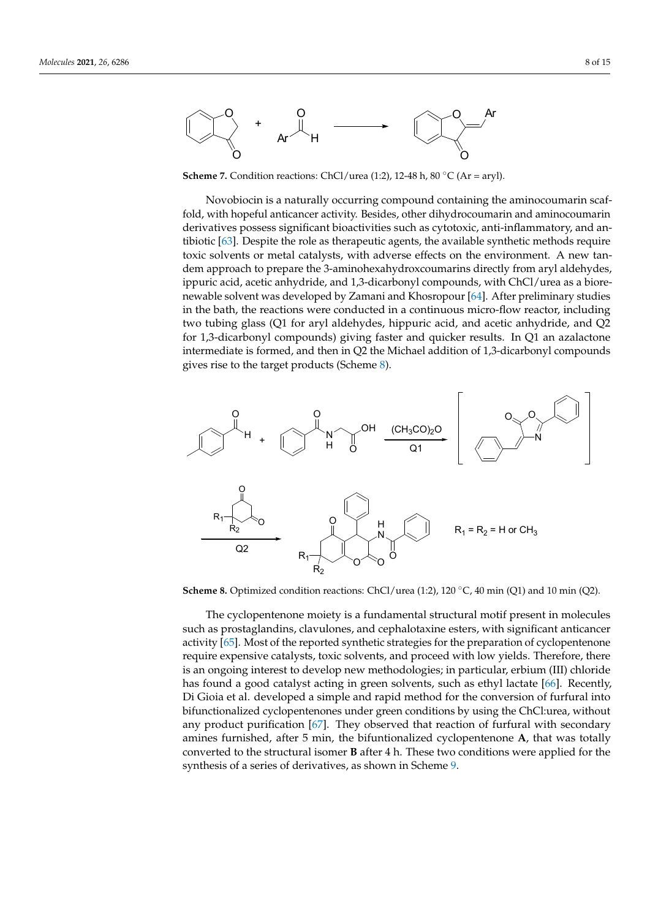<span id="page-8-0"></span>

**Scheme 7.** Condition reactions: ChCl/urea (1:2), 12-48 h, 80 °C (Ar = aryl).

Novobiocin is a naturally occurring compound containing the aminocoumarin scaffold, with hopeful anticancer activity. Besides, other dihydrocoumarin and aminocoumarin derivatives possess significant bioactivities such as cytotoxic, anti-inflammatory, and antibiotic  $[63]$ . Despite the role as therapeutic agents, the available synthetic methods require toxic solvents or metal catalysts, with adverse effects on the environment. A new tandem approach to prepare the 3-aminohexahydroxcoumarins directly from aryl aldehydes, ippuric acid, acetic anhydride, and 1,3-dicarbonyl compounds, with ChCl/urea as a biore-newable solvent was developed by Zamani and Khosropour [\[64\]](#page-14-15). After preliminary studies in the bath, the reactions were conducted in a continuous micro-flow reactor, including two tubing glass (Q1 for aryl aldehydes, hippuric acid, and acetic anhydride, and Q2 for 1,3-dicarbonyl compounds) giving faster and quicker results. In Q1 an azalactone intermediate is formed, and then in Q2 the Michael addition of 1,3-dicarbonyl compounds gives rise to the target products (Scheme 8). gives rise to the target products (Scheme [8\)](#page-8-1). gives rise to the target products (Scheme 8).

by mixing the reactants in DES, and the desired aurones were recovered by extractive

by mixing the reactants in DES, and the desired aurones were recovered by extractive

<span id="page-8-1"></span>

Scheme 8. Optimized condition reactions: ChCl/urea (1:2), 120 °C, 40 min (Q1) and 10 min (Q2).

The cyclopentenone moiety is a fundamental structural motif present in molecules such as prostaglandins, clavulones, and cephalotaxine esters, with significant anticancer activity [\[65\]](#page-14-16). Most of the reported synthetic strategies for the preparation of cyclopentenone require expensive catalysts, toxic solvents, and proceed with low yields. Therefore, there is an ongoing interest to develop new methodologies; in particular, erbium (III) chloride has found a good catalyst acting in green solvents, such as ethyl lactate [\[66\]](#page-14-17). Recently, Di Gioia et al. developed a simple and rapid method for the conversion of furfural into bifunctionalized cyclopentenones under green conditions by using the ChCl:urea, without any product purification [\[67\]](#page-14-18). They observed that reaction of furfural with secondary amines furnished, after 5 min, the bifuntionalized cyclopentenone **A**, that was totally converted to the structural isomer **B** after 4 h. These two conditions were applied for the synthesis of a series of derivatives, as shown in Scheme [9.](#page-9-0)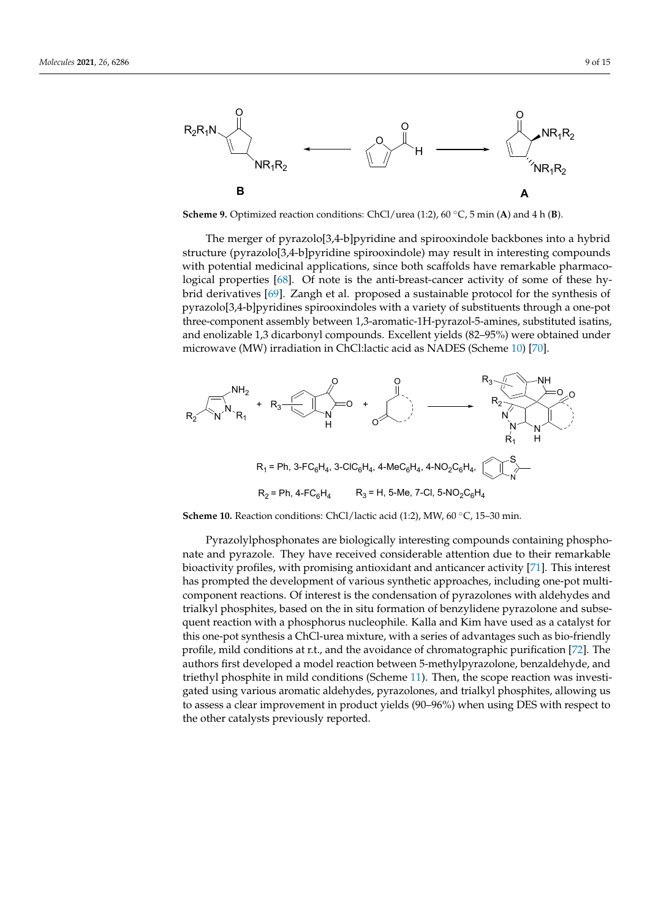<span id="page-9-0"></span>

verted to the structural isomer **B** after 4 h. These two conditions were applied for the syn-

**Scheme 9.** Optimized reaction conditions: ChCl/urea (1:2), 60 $\degree$ C, 5 min (A) and 4 h (B).

The merger of pyrazolo[3,4-b]pyridine and spirooxindole backbones into a hybrid structure (pyrazolo[3,4-b]pyridine spirooxindole) may result in interesting compounds with potential medicinal applications, since both scaffolds have remarkable pharmaco-logical properties [\[68\]](#page-14-19). Of note is the anti-breast-cancer activity of some of these hy-brid derivatives [\[69\]](#page-14-20). Zangh et al. proposed a sustainable protocol for the synthesis of pyrazolo[3,4-b]pyridines spirooxindoles with a variety of substituents through a one-pot three-component assembly between 1,3-aromatic-1H-pyrazol-5-amines, substituted isatins, and enolizable 1,3 dicarbonyl compounds. Excellent yields (82–95%) were obtained under microwave (MW) irradiation in ChCl:lactic acid as NADES (Scheme 10) [\[70\]](#page-14-21).

<span id="page-9-1"></span>

Scheme 10. Reaction conditions: ChCl/lactic acid (1:2), MW, 60 °C, 15-30 min.

Pyrazolylphosphonates are biologically interesting compounds containing phosphonate and pyrazole. They have received considerable attention due to their remarkable bioactivity profiles, with promising antioxidant and anticancer activity [\[71\]](#page-14-22). This interest has prompted the development of various synthetic approaches, including one-pot multicomponent reactions. Of interest is the condensation of pyrazolones with aldehydes and trialkyl phosphites, based on the in situ formation of benzylidene pyrazolone and subsequent reaction with a phosphorus nucleophile. Kalla and Kim have used as a catalyst for this one-pot synthesis a ChCl-urea mixture, with a series of advantages such as bio-friendly profile, mild conditions at r.t., and the avoidance of chromatographic purification [\[72\]](#page-14-23). The authors first developed a model reaction between 5-methylpyrazolone, benzaldehyde, and triethyl phosphite in mild conditions (Scheme [11\)](#page-10-0). Then, the scope reaction was investigated using various aromatic aldehydes, pyrazolones, and trialkyl phosphites, allowing us to assess a clear improvement in product yields (90–96%) when using DES with respect to the other catalysts previously reported.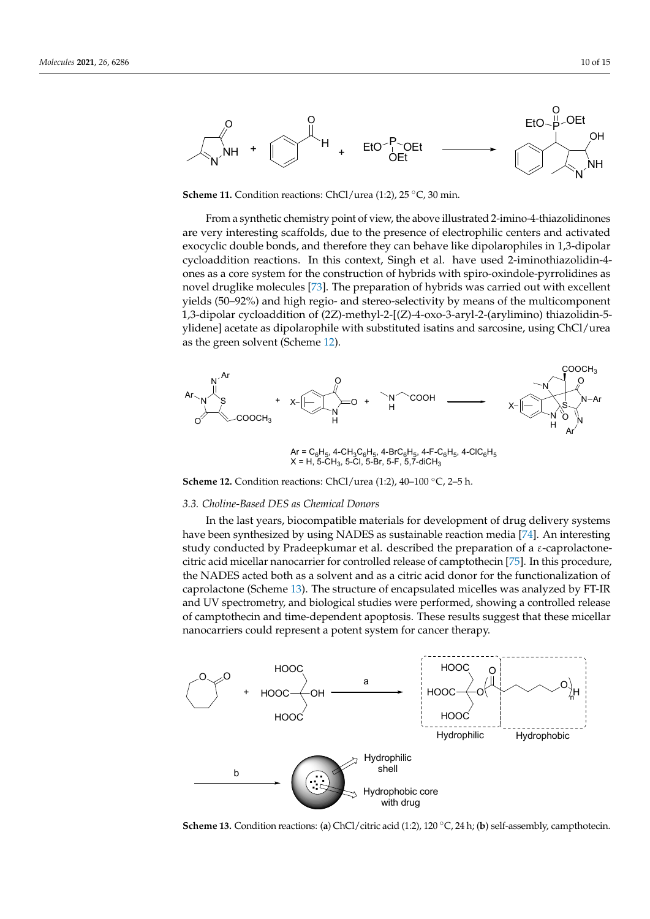<span id="page-10-0"></span>

Scheme 11. Condition reactions: ChCl/urea (1:2), 25 °C, 30 min.

From a synthetic chemistry point of view, the above illustrated 2-imino-4-thiazolidinones are very interesting scaffolds, due to the presence of electrophilic centers and activated exocyclic double bonds, and therefore they can behave like dipolarophiles in 1,3-dipolar cycloaddition reactions. In this context, Singh et al. have used 2-iminothiazolidin-4ones as a core system for the construction of hybrids with spiro-oxindole-pyrrolidines as novel druglike molecules [\[73\]](#page-14-24). The preparation of hybrids was carried out with excellent yields (50–92%) and high regio- and stereo-selectivity by means of the multicomponent 1,3-dipolar cycloaddition of (2Z)-methyl-2-[(Z)-4-oxo-3-aryl-2-(arylimino) thiazolidin-5ylidene] acetate as dipolarophile with substituted isatins and sarcosine, using ChCl/urea as the green solve[nt \(](#page-10-1)Scheme 12).

<span id="page-10-1"></span>

 $Ar = C_6H_5$ , 4-CH<sub>3</sub>C<sub>6</sub>H<sub>5</sub>, 4-BrC<sub>6</sub>H<sub>5</sub>, 4-F-C<sub>6</sub>H<sub>5</sub>, 4-ClC<sub>6</sub>H<sub>5</sub>  $X = H$ , 5-CH<sub>3</sub>, 5-Cl, 5-Br, 5-F, 5,7-diCH<sub>3</sub>

**Scheme 12.** Condition reactions: ChCl/urea (1:2),  $40-100$  °C,  $2-5$  h.

# *3.3. Choline-Based DES as Chemical Donors 3.3. Choline-Based DES as Chemical Donors 3.3. Choline-Based DES as Chemical Donors 3.3. Choline-Based DES as Chemical Donors*

In the last years, biocompatible materials for development of drug density systems have been synthesized by using  $\mathbf{v}_1$  as sustainable reaction media  $\mathbf{r}_1$ . An interesting  $\mathbf{r}_2$ study conducted by Pradectical  $\epsilon$  and  $\epsilon$  and  $\epsilon$  al. described the preparation of a e-caprolactone-caprolactone-caprolactone-caprolactone-caprolactone-caprolactone-caprolactone-caprolactone-caprolactone-caprolactonethe NADES acted both as a solvent and as a citric acid donor for the functionalization of dure, the NADES acted both as a solvent and as a citric acid donor for the functionalization of and UV spectrometry, and biological studies were performed, showing a controlled release and CV spectrometry, and biological studies were performed, showing a controlled release  $r_{\text{c}}$  release of camptothecine and time-dependent apoptosis. These results suggest that these results suggest that the suggest that the suggest that the suggest that the suggest that the suggest that the suggest of  $\$ nanocarriers could represent a potent system for cancer therapy. In the last years, biocompatible materials for development of drug delivery systems have been synthesized by using NADES as sustainable reaction media [\[74\]](#page-14-25). An interesting study conducted by Pradeepkumar et al. described the preparation of a  $\varepsilon$ -caprolactone-citric acid micellar nanocarrier for controlled release of camptothecin [\[75\]](#page-14-26). In this procedure, caprolactone (Scheme [13\)](#page-10-2). The structure of encapsulated micelles was analyzed by FT-IR of camptothecin and time-dependent apoptosis. These results suggest that these micellar<br>name sawijang asuld nameseart a natant sustant for son son thangers

<span id="page-10-2"></span>

Scheme 13. Condition reactions: (a) ChCl/citric acid (1:2), 120 °C, 24 h; (b) self-assembly, campthotecin.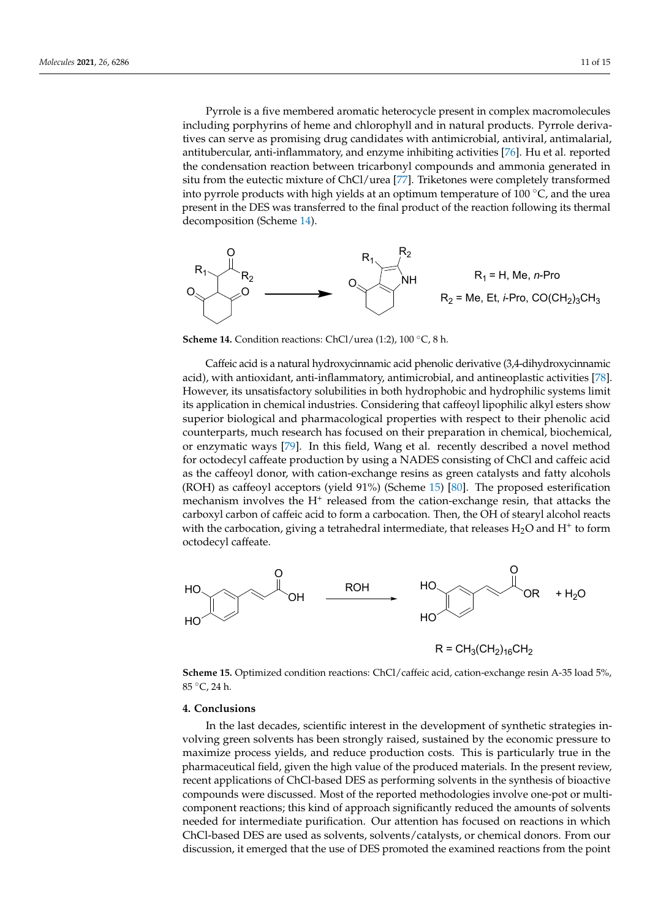Pyrrole is a five membered aromatic heterocycle present in complex macromolecules including porphyrins of heme and chlorophyll and in natural products. Pyrrole derivatives can serve as promising drug candidates with antimicrobial, antiviral, antimalarial, antitubercular, anti-inflammatory, and enzyme inhibiting activities [\[76](#page-15-0)]. Hu et al. reported the condensation reaction between tricarbonyl compounds and ammonia generated in situ from the eutectic mixture of ChCl/urea [\[77\]](#page-15-1). Triketones were completely transformed into pyrrole products with high yields at an optimum temperature of  $100^{\circ}$ C, and the urea present in the DES was transferred to the final product of the reaction following its thermal decomposition (Sc[hem](#page-11-0)e 14).

<span id="page-11-0"></span>

**Scheme 14.** Condition reactions: ChCl/urea (1:2), 100 °C, 8 h. **Scheme 14.** Condition reactions: ChCl/urea (1:2), 100 ◦C, 8 h. **Scheme 14.** Condition reactions: ChCl/urea (1:2), 100 °C, 8 h.

Caffeic acid is a natural hydroxycinnamic acid phenolic derivative (3,4-dihydroxycinnamic acid), with antioxidant, anti-inflammatory, antimicrobial, and anti[neo](#page-15-2)plastic activities [78]. However, its unsatisfactory solubilities in both hydrophobic and hydrophilic systems limit its application in chemical industries. Considering that caffeoyl lipophilic alkyl esters show superior biological and pharmacological properties with respect to their phenolic acid counterparts, much research has focused on their preparation in chemical, biochemical, or enzymatic ways [\[79\]](#page-15-3). In this field, Wang et al. recently described a novel method for octodecyl caffeate production by using a NADES consisting of ChCl and caffeic acid as the caffeoyl donor, with cation-exchange resins as green catalysts and fatty alcohols  $(2.22)$  $(ROH)$  as caffeoyl acceptors (yield 91%) (Scheme 15) [\[80\]](#page-15-4). The proposed esterification mechanism involves the H<sup>+</sup> released from the cation-exchange resin, that attacks the carboxyl carbon of caffeic acid to form a carbocation. Then, the OH of stearyl alcohol reacts  $\frac{1}{11}$ with the carbocation, giving a tetrahedral intermediate, that releases  $H_2O$  and  $H^+$  to form octodecyl caffeate.

<span id="page-11-1"></span>

Scheme 15. Optimized condition reactions: ChCl/caffeic acid, cation-exchange resin A-35 load 5%, 85 °C, 24 h. 85 °C, 24 h. 85 ◦C, 24 h.

## **4. Conclusions 4. Conclusions 4. Conclusions**

In the last decades, scientific interest in the development of synthetic strategies involving green solvents has been strongly raised, sustained by the economic pressure to maximize process yields, and reduce production costs. This is particularly true in the pharmaceutical field, given the high value of the produced materials. In the present review, recent applications of ChCl-based DES as performing solvents in the synthesis of bioactive<br>contractor discussed Market of the synoptic distribution in the synthesis of control bioactive compounds were discussed. Most of the reported methodologies involve onepotential continuously this kind of approach significant  $\eta$  reactions; the amounts of approximation of a model the amounts of a significant  $\eta$ of solvents needed for intermediate purification. Our attention has focused on reactions  $\mathcal{L}$ in which Check-based as solvents, solvents, solvents, solvents, or chemical donors. The memories of  $\overline{DE}$  are used the exempted the exemption of  $\overline{DE}$  are used the exemption of  $\overline{DE}$  are used the exemptio discussion, it emerged that the use of DES promoted the examined reactions from the point bioactive compounds were discussed. Most of the reported methodologies involve one-compounds were discussed. Most of the reported methodologies involve one-pot or multicomponent reactions; this kind of approach significantly reduced the amounts of solvents needed for intermediate purification. Our attention has focused on reactions in which in which ChCl-based DES are used as solvents, solvents/catalysts, or chemical donors. ChCl-based DES are used as solvents, solvents/catalysts, or chemical donors. From our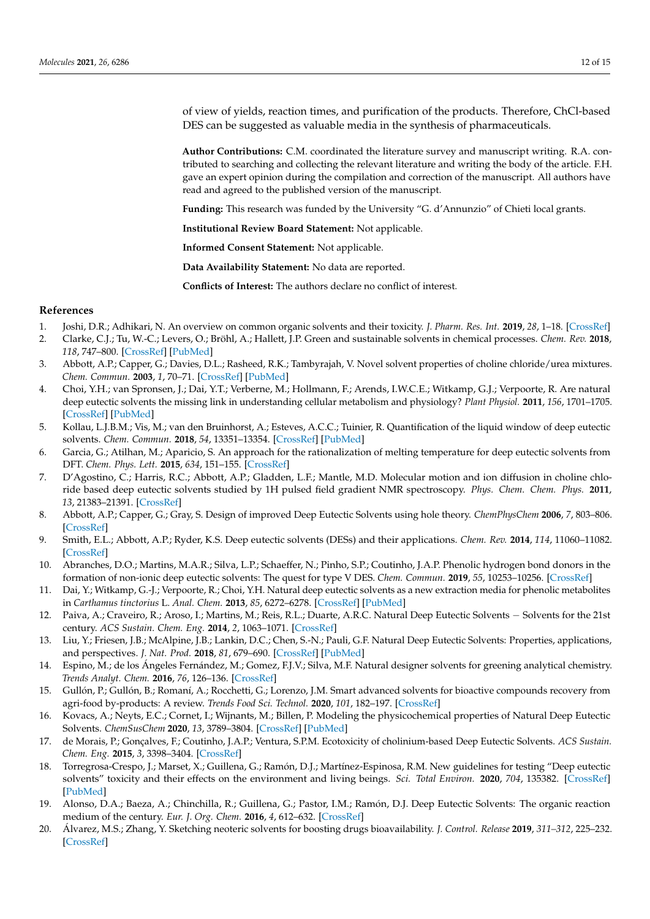of view of yields, reaction times, and purification of the products. Therefore, ChCl-based DES can be suggested as valuable media in the synthesis of pharmaceuticals.

**Author Contributions:** C.M. coordinated the literature survey and manuscript writing. R.A. contributed to searching and collecting the relevant literature and writing the body of the article. F.H. gave an expert opinion during the compilation and correction of the manuscript. All authors have read and agreed to the published version of the manuscript.

**Funding:** This research was funded by the University "G. d'Annunzio" of Chieti local grants.

**Institutional Review Board Statement:** Not applicable.

**Informed Consent Statement:** Not applicable.

**Data Availability Statement:** No data are reported.

**Conflicts of Interest:** The authors declare no conflict of interest.

#### **References**

- <span id="page-12-0"></span>1. Joshi, D.R.; Adhikari, N. An overview on common organic solvents and their toxicity. *J. Pharm. Res. Int.* **2019**, *28*, 1–18. [\[CrossRef\]](http://doi.org/10.9734/jpri/2019/v28i330203)
- <span id="page-12-1"></span>2. Clarke, C.J.; Tu, W.-C.; Levers, O.; Bröhl, A.; Hallett, J.P. Green and sustainable solvents in chemical processes. *Chem. Rev.* **2018**, *118*, 747–800. [\[CrossRef\]](http://doi.org/10.1021/acs.chemrev.7b00571) [\[PubMed\]](http://www.ncbi.nlm.nih.gov/pubmed/29300087)
- <span id="page-12-2"></span>3. Abbott, A.P.; Capper, G.; Davies, D.L.; Rasheed, R.K.; Tambyrajah, V. Novel solvent properties of choline chloride/urea mixtures. *Chem. Commun.* **2003**, *1*, 70–71. [\[CrossRef\]](http://doi.org/10.1039/b210714g) [\[PubMed\]](http://www.ncbi.nlm.nih.gov/pubmed/12610970)
- <span id="page-12-3"></span>4. Choi, Y.H.; van Spronsen, J.; Dai, Y.T.; Verberne, M.; Hollmann, F.; Arends, I.W.C.E.; Witkamp, G.J.; Verpoorte, R. Are natural deep eutectic solvents the missing link in understanding cellular metabolism and physiology? *Plant Physiol.* **2011**, *156*, 1701–1705. [\[CrossRef\]](http://doi.org/10.1104/pp.111.178426) [\[PubMed\]](http://www.ncbi.nlm.nih.gov/pubmed/21677097)
- <span id="page-12-4"></span>5. Kollau, L.J.B.M.; Vis, M.; van den Bruinhorst, A.; Esteves, A.C.C.; Tuinier, R. Quantification of the liquid window of deep eutectic solvents. *Chem. Commun.* **2018**, *54*, 13351–13354. [\[CrossRef\]](http://doi.org/10.1039/C8CC05815F) [\[PubMed\]](http://www.ncbi.nlm.nih.gov/pubmed/30417900)
- <span id="page-12-5"></span>6. Garcia, G.; Atilhan, M.; Aparicio, S. An approach for the rationalization of melting temperature for deep eutectic solvents from DFT. *Chem. Phys. Lett.* **2015**, *634*, 151–155. [\[CrossRef\]](http://doi.org/10.1016/j.cplett.2015.06.017)
- <span id="page-12-6"></span>7. D'Agostino, C.; Harris, R.C.; Abbott, A.P.; Gladden, L.F.; Mantle, M.D. Molecular motion and ion diffusion in choline chloride based deep eutectic solvents studied by 1H pulsed field gradient NMR spectroscopy. *Phys. Chem. Chem. Phys.* **2011**, *13*, 21383–21391. [\[CrossRef\]](http://doi.org/10.1039/c1cp22554e)
- <span id="page-12-7"></span>8. Abbott, A.P.; Capper, G.; Gray, S. Design of improved Deep Eutectic Solvents using hole theory. *ChemPhysChem* **2006**, *7*, 803–806. [\[CrossRef\]](http://doi.org/10.1002/cphc.200500489)
- <span id="page-12-8"></span>9. Smith, E.L.; Abbott, A.P.; Ryder, K.S. Deep eutectic solvents (DESs) and their applications. *Chem. Rev.* **2014**, *114*, 11060–11082. [\[CrossRef\]](http://doi.org/10.1021/cr300162p)
- <span id="page-12-9"></span>10. Abranches, D.O.; Martins, M.A.R.; Silva, L.P.; Schaeffer, N.; Pinho, S.P.; Coutinho, J.A.P. Phenolic hydrogen bond donors in the formation of non-ionic deep eutectic solvents: The quest for type V DES. *Chem. Commun.* **2019**, *55*, 10253–10256. [\[CrossRef\]](http://doi.org/10.1039/C9CC04846D)
- <span id="page-12-10"></span>11. Dai, Y.; Witkamp, G.-J.; Verpoorte, R.; Choi, Y.H. Natural deep eutectic solvents as a new extraction media for phenolic metabolites in *Carthamus tinctorius* L. *Anal. Chem.* **2013**, *85*, 6272–6278. [\[CrossRef\]](http://doi.org/10.1021/ac400432p) [\[PubMed\]](http://www.ncbi.nlm.nih.gov/pubmed/23710664)
- <span id="page-12-11"></span>12. Paiva, A.; Craveiro, R.; Aroso, I.; Martins, M.; Reis, R.L.; Duarte, A.R.C. Natural Deep Eutectic Solvents − Solvents for the 21st century. *ACS Sustain. Chem. Eng.* **2014**, *2*, 1063–1071. [\[CrossRef\]](http://doi.org/10.1021/sc500096j)
- 13. Liu, Y.; Friesen, J.B.; McAlpine, J.B.; Lankin, D.C.; Chen, S.-N.; Pauli, G.F. Natural Deep Eutectic Solvents: Properties, applications, and perspectives. *J. Nat. Prod.* **2018**, *81*, 679–690. [\[CrossRef\]](http://doi.org/10.1021/acs.jnatprod.7b00945) [\[PubMed\]](http://www.ncbi.nlm.nih.gov/pubmed/29513526)
- 14. Espino, M.; de los Ángeles Fernández, M.; Gomez, F.J.V.; Silva, M.F. Natural designer solvents for greening analytical chemistry. *Trends Analyt. Chem.* **2016**, *76*, 126–136. [\[CrossRef\]](http://doi.org/10.1016/j.trac.2015.11.006)
- <span id="page-12-12"></span>15. Gullón, P.; Gullón, B.; Romaní, A.; Rocchetti, G.; Lorenzo, J.M. Smart advanced solvents for bioactive compounds recovery from agri-food by-products: A review. *Trends Food Sci. Technol.* **2020**, *101*, 182–197. [\[CrossRef\]](http://doi.org/10.1016/j.tifs.2020.05.007)
- <span id="page-12-13"></span>16. Kovacs, A.; Neyts, E.C.; Cornet, I.; Wijnants, M.; Billen, P. Modeling the physicochemical properties of Natural Deep Eutectic Solvents. *ChemSusChem* **2020**, *13*, 3789–3804. [\[CrossRef\]](http://doi.org/10.1002/cssc.202000286) [\[PubMed\]](http://www.ncbi.nlm.nih.gov/pubmed/32378359)
- <span id="page-12-14"></span>17. de Morais, P.; Gonçalves, F.; Coutinho, J.A.P.; Ventura, S.P.M. Ecotoxicity of cholinium-based Deep Eutectic Solvents. *ACS Sustain. Chem. Eng.* **2015**, *3*, 3398–3404. [\[CrossRef\]](http://doi.org/10.1021/acssuschemeng.5b01124)
- <span id="page-12-15"></span>18. Torregrosa-Crespo, J.; Marset, X.; Guillena, G.; Ramón, D.J.; Martínez-Espinosa, R.M. New guidelines for testing "Deep eutectic solvents" toxicity and their effects on the environment and living beings. *Sci. Total Environ.* **2020**, *704*, 135382. [\[CrossRef\]](http://doi.org/10.1016/j.scitotenv.2019.135382) [\[PubMed\]](http://www.ncbi.nlm.nih.gov/pubmed/31812413)
- <span id="page-12-16"></span>19. Alonso, D.A.; Baeza, A.; Chinchilla, R.; Guillena, G.; Pastor, I.M.; Ramón, D.J. Deep Eutectic Solvents: The organic reaction medium of the century. *Eur. J. Org. Chem.* **2016**, *4*, 612–632. [\[CrossRef\]](http://doi.org/10.1002/ejoc.201501197)
- <span id="page-12-17"></span>20. Álvarez, M.S.; Zhang, Y. Sketching neoteric solvents for boosting drugs bioavailability. *J. Control. Release* **2019**, *311–312*, 225–232. [\[CrossRef\]](http://doi.org/10.1016/j.jconrel.2019.09.008)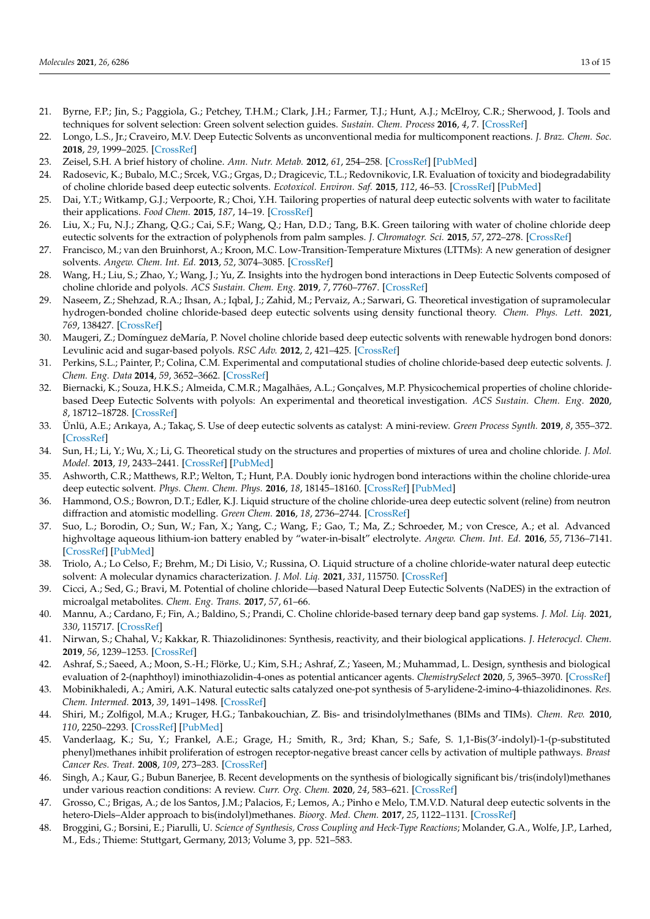- <span id="page-13-0"></span>21. Byrne, F.P.; Jin, S.; Paggiola, G.; Petchey, T.H.M.; Clark, J.H.; Farmer, T.J.; Hunt, A.J.; McElroy, C.R.; Sherwood, J. Tools and techniques for solvent selection: Green solvent selection guides. *Sustain. Chem. Process* **2016**, *4*, 7. [\[CrossRef\]](http://doi.org/10.1186/s40508-016-0051-z)
- <span id="page-13-1"></span>22. Longo, L.S., Jr.; Craveiro, M.V. Deep Eutectic Solvents as unconventional media for multicomponent reactions. *J. Braz. Chem. Soc.* **2018**, *29*, 1999–2025. [\[CrossRef\]](http://doi.org/10.21577/0103-5053.20180147)
- <span id="page-13-2"></span>23. Zeisel, S.H. A brief history of choline. *Ann. Nutr. Metab.* **2012**, *61*, 254–258. [\[CrossRef\]](http://doi.org/10.1159/000343120) [\[PubMed\]](http://www.ncbi.nlm.nih.gov/pubmed/23183298)
- <span id="page-13-3"></span>24. Radosevic, K.; Bubalo, M.C.; Srcek, V.G.; Grgas, D.; Dragicevic, T.L.; Redovnikovic, I.R. Evaluation of toxicity and biodegradability of choline chloride based deep eutectic solvents. *Ecotoxicol. Environ. Saf.* **2015**, *112*, 46–53. [\[CrossRef\]](http://doi.org/10.1016/j.ecoenv.2014.09.034) [\[PubMed\]](http://www.ncbi.nlm.nih.gov/pubmed/25463852)
- <span id="page-13-4"></span>25. Dai, Y.T.; Witkamp, G.J.; Verpoorte, R.; Choi, Y.H. Tailoring properties of natural deep eutectic solvents with water to facilitate their applications. *Food Chem.* **2015**, *187*, 14–19. [\[CrossRef\]](http://doi.org/10.1016/j.foodchem.2015.03.123)
- <span id="page-13-5"></span>26. Liu, X.; Fu, N.J.; Zhang, Q.G.; Cai, S.F.; Wang, Q.; Han, D.D.; Tang, B.K. Green tailoring with water of choline chloride deep eutectic solvents for the extraction of polyphenols from palm samples. *J. Chromatogr. Sci.* **2015**, *57*, 272–278. [\[CrossRef\]](http://doi.org/10.1093/chromsci/bmy099)
- <span id="page-13-6"></span>27. Francisco, M.; van den Bruinhorst, A.; Kroon, M.C. Low-Transition-Temperature Mixtures (LTTMs): A new generation of designer solvents. *Angew. Chem. Int. Ed.* **2013**, *52*, 3074–3085. [\[CrossRef\]](http://doi.org/10.1002/anie.201207548)
- <span id="page-13-7"></span>28. Wang, H.; Liu, S.; Zhao, Y.; Wang, J.; Yu, Z. Insights into the hydrogen bond interactions in Deep Eutectic Solvents composed of choline chloride and polyols. *ACS Sustain. Chem. Eng.* **2019**, *7*, 7760–7767. [\[CrossRef\]](http://doi.org/10.1021/acssuschemeng.8b06676)
- <span id="page-13-8"></span>29. Naseem, Z.; Shehzad, R.A.; Ihsan, A.; Iqbal, J.; Zahid, M.; Pervaiz, A.; Sarwari, G. Theoretical investigation of supramolecular hydrogen-bonded choline chloride-based deep eutectic solvents using density functional theory. *Chem. Phys. Lett.* **2021**, *769*, 138427. [\[CrossRef\]](http://doi.org/10.1016/j.cplett.2021.138427)
- <span id="page-13-9"></span>30. Maugeri, Z.; Domínguez deMaría, P. Novel choline chloride based deep eutectic solvents with renewable hydrogen bond donors: Levulinic acid and sugar-based polyols. *RSC Adv.* **2012**, *2*, 421–425. [\[CrossRef\]](http://doi.org/10.1039/C1RA00630D)
- <span id="page-13-10"></span>31. Perkins, S.L.; Painter, P.; Colina, C.M. Experimental and computational studies of choline chloride-based deep eutectic solvents. *J. Chem. Eng. Data* **2014**, *59*, 3652–3662. [\[CrossRef\]](http://doi.org/10.1021/je500520h)
- <span id="page-13-11"></span>32. Biernacki, K.; Souza, H.K.S.; Almeida, C.M.R.; Magalhães, A.L.; Gonçalves, M.P. Physicochemical properties of choline chloridebased Deep Eutectic Solvents with polyols: An experimental and theoretical investigation. *ACS Sustain. Chem. Eng.* **2020**, *8*, 18712–18728. [\[CrossRef\]](http://doi.org/10.1021/acssuschemeng.0c08288)
- <span id="page-13-12"></span>33. Ünlü, A.E.; Arıkaya, A.; Takaç, S. Use of deep eutectic solvents as catalyst: A mini-review. *Green Process Synth.* **2019**, *8*, 355–372. [\[CrossRef\]](http://doi.org/10.1515/gps-2019-0003)
- <span id="page-13-13"></span>34. Sun, H.; Li, Y.; Wu, X.; Li, G. Theoretical study on the structures and properties of mixtures of urea and choline chloride. *J. Mol. Model.* **2013**, *19*, 2433–2441. [\[CrossRef\]](http://doi.org/10.1007/s00894-013-1791-2) [\[PubMed\]](http://www.ncbi.nlm.nih.gov/pubmed/23435478)
- <span id="page-13-14"></span>35. Ashworth, C.R.; Matthews, R.P.; Welton, T.; Hunt, P.A. Doubly ionic hydrogen bond interactions within the choline chloride-urea deep eutectic solvent. *Phys. Chem. Chem. Phys.* **2016**, *18*, 18145–18160. [\[CrossRef\]](http://doi.org/10.1039/C6CP02815B) [\[PubMed\]](http://www.ncbi.nlm.nih.gov/pubmed/27328990)
- <span id="page-13-15"></span>36. Hammond, O.S.; Bowron, D.T.; Edler, K.J. Liquid structure of the choline chloride-urea deep eutectic solvent (reline) from neutron diffraction and atomistic modelling. *Green Chem.* **2016**, *18*, 2736–2744. [\[CrossRef\]](http://doi.org/10.1039/C5GC02914G)
- <span id="page-13-16"></span>37. Suo, L.; Borodin, O.; Sun, W.; Fan, X.; Yang, C.; Wang, F.; Gao, T.; Ma, Z.; Schroeder, M.; von Cresce, A.; et al. Advanced highvoltage aqueous lithium-ion battery enabled by "water-in-bisalt" electrolyte. *Angew. Chem. Int. Ed.* **2016**, *55*, 7136–7141. [\[CrossRef\]](http://doi.org/10.1002/anie.201602397) [\[PubMed\]](http://www.ncbi.nlm.nih.gov/pubmed/27120336)
- <span id="page-13-17"></span>38. Triolo, A.; Lo Celso, F.; Brehm, M.; Di Lisio, V.; Russina, O. Liquid structure of a choline chloride-water natural deep eutectic solvent: A molecular dynamics characterization. *J. Mol. Liq.* **2021**, *331*, 115750. [\[CrossRef\]](http://doi.org/10.1016/j.molliq.2021.115750)
- <span id="page-13-18"></span>39. Cicci, A.; Sed, G.; Bravi, M. Potential of choline chloride—based Natural Deep Eutectic Solvents (NaDES) in the extraction of microalgal metabolites. *Chem. Eng. Trans.* **2017**, *57*, 61–66.
- <span id="page-13-19"></span>40. Mannu, A.; Cardano, F.; Fin, A.; Baldino, S.; Prandi, C. Choline chloride-based ternary deep band gap systems. *J. Mol. Liq.* **2021**, *330*, 115717. [\[CrossRef\]](http://doi.org/10.1016/j.molliq.2021.115717)
- <span id="page-13-20"></span>41. Nirwan, S.; Chahal, V.; Kakkar, R. Thiazolidinones: Synthesis, reactivity, and their biological applications. *J. Heterocycl. Chem.* **2019**, *56*, 1239–1253. [\[CrossRef\]](http://doi.org/10.1002/jhet.3514)
- <span id="page-13-21"></span>42. Ashraf, S.; Saeed, A.; Moon, S.-H.; Flörke, U.; Kim, S.H.; Ashraf, Z.; Yaseen, M.; Muhammad, L. Design, synthesis and biological evaluation of 2-(naphthoyl) iminothiazolidin-4-ones as potential anticancer agents. *ChemistrySelect* **2020**, *5*, 3965–3970. [\[CrossRef\]](http://doi.org/10.1002/slct.202000579)
- <span id="page-13-22"></span>43. Mobinikhaledi, A.; Amiri, A.K. Natural eutectic salts catalyzed one-pot synthesis of 5-arylidene-2-imino-4-thiazolidinones. *Res. Chem. Intermed.* **2013**, *39*, 1491–1498. [\[CrossRef\]](http://doi.org/10.1007/s11164-012-0707-6)
- <span id="page-13-23"></span>44. Shiri, M.; Zolfigol, M.A.; Kruger, H.G.; Tanbakouchian, Z. Bis- and trisindolylmethanes (BIMs and TIMs). *Chem. Rev.* **2010**, *110*, 2250–2293. [\[CrossRef\]](http://doi.org/10.1021/cr900195a) [\[PubMed\]](http://www.ncbi.nlm.nih.gov/pubmed/20041637)
- <span id="page-13-24"></span>45. Vanderlaag, K.; Su, Y.; Frankel, A.E.; Grage, H.; Smith, R., 3rd; Khan, S.; Safe, S. 1,1-Bis(3'-indolyl)-1-(p-substituted phenyl)methanes inhibit proliferation of estrogen receptor-negative breast cancer cells by activation of multiple pathways. *Breast Cancer Res. Treat.* **2008**, *109*, 273–283. [\[CrossRef\]](http://doi.org/10.1007/s10549-007-9648-y)
- <span id="page-13-25"></span>46. Singh, A.; Kaur, G.; Bubun Banerjee, B. Recent developments on the synthesis of biologically significant bis/tris(indolyl)methanes under various reaction conditions: A review. *Curr. Org. Chem.* **2020**, *24*, 583–621. [\[CrossRef\]](http://doi.org/10.2174/1385272824666200228092752)
- <span id="page-13-26"></span>47. Grosso, C.; Brigas, A.; de los Santos, J.M.; Palacios, F.; Lemos, A.; Pinho e Melo, T.M.V.D. Natural deep eutectic solvents in the hetero-Diels–Alder approach to bis(indolyl)methanes. *Bioorg. Med. Chem.* **2017**, *25*, 1122–1131. [\[CrossRef\]](http://doi.org/10.1016/j.bmc.2016.12.028)
- <span id="page-13-27"></span>48. Broggini, G.; Borsini, E.; Piarulli, U. *Science of Synthesis, Cross Coupling and Heck-Type Reactions*; Molander, G.A., Wolfe, J.P., Larhed, M., Eds.; Thieme: Stuttgart, Germany, 2013; Volume 3, pp. 521–583.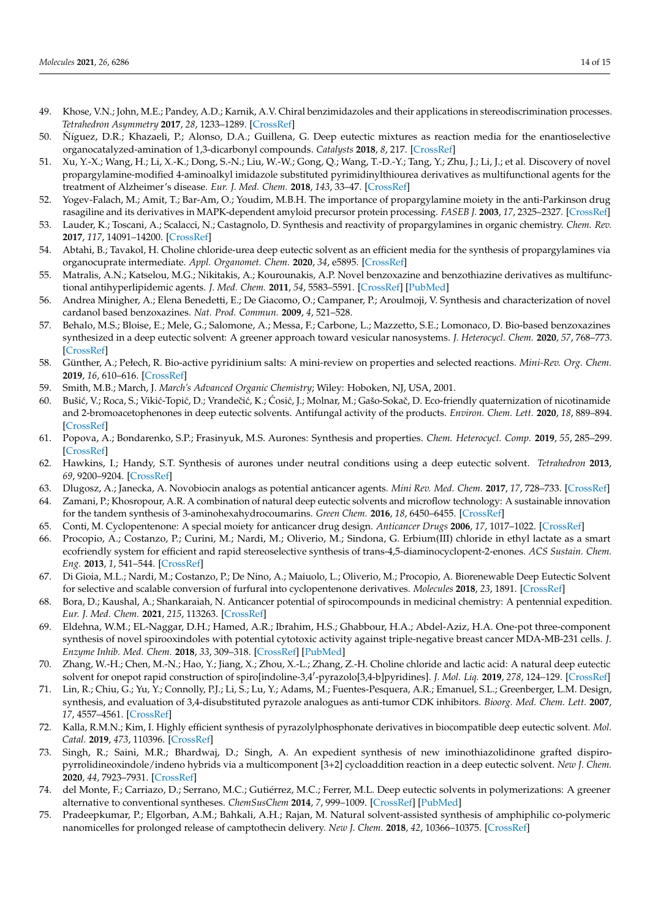- <span id="page-14-0"></span>49. Khose, V.N.; John, M.E.; Pandey, A.D.; Karnik, A.V. Chiral benzimidazoles and their applications in stereodiscrimination processes. *Tetrahedron Asymmetry* **2017**, *28*, 1233–1289. [\[CrossRef\]](http://doi.org/10.1016/j.tetasy.2017.09.001)
- <span id="page-14-1"></span>50. Ñíguez, D.R.; Khazaeli, P.; Alonso, D.A.; Guillena, G. Deep eutectic mixtures as reaction media for the enantioselective organocatalyzed-amination of 1,3-dicarbonyl compounds. *Catalysts* **2018**, *8*, 217. [\[CrossRef\]](http://doi.org/10.3390/catal8050217)
- <span id="page-14-2"></span>51. Xu, Y.-X.; Wang, H.; Li, X.-K.; Dong, S.-N.; Liu, W.-W.; Gong, Q.; Wang, T.-D.-Y.; Tang, Y.; Zhu, J.; Li, J.; et al. Discovery of novel propargylamine-modified 4-aminoalkyl imidazole substituted pyrimidinylthiourea derivatives as multifunctional agents for the treatment of Alzheimer's disease. *Eur. J. Med. Chem.* **2018**, *143*, 33–47. [\[CrossRef\]](http://doi.org/10.1016/j.ejmech.2017.08.025)
- <span id="page-14-3"></span>52. Yogev-Falach, M.; Amit, T.; Bar-Am, O.; Youdim, M.B.H. The importance of propargylamine moiety in the anti-Parkinson drug rasagiline and its derivatives in MAPK-dependent amyloid precursor protein processing. *FASEB J.* **2003**, *17*, 2325–2327. [\[CrossRef\]](http://doi.org/10.1096/fj.03-0078fje)
- <span id="page-14-4"></span>53. Lauder, K.; Toscani, A.; Scalacci, N.; Castagnolo, D. Synthesis and reactivity of propargylamines in organic chemistry. *Chem. Rev.* **2017**, *117*, 14091–14200. [\[CrossRef\]](http://doi.org/10.1021/acs.chemrev.7b00343)
- <span id="page-14-5"></span>54. Abtahi, B.; Tavakol, H. Choline chloride-urea deep eutectic solvent as an efficient media for the synthesis of propargylamines via organocuprate intermediate. *Appl. Organomet. Chem.* **2020**, *34*, e5895. [\[CrossRef\]](http://doi.org/10.1002/aoc.5895)
- <span id="page-14-6"></span>55. Matralis, A.N.; Katselou, M.G.; Nikitakis, A.; Kourounakis, A.P. Novel benzoxazine and benzothiazine derivatives as multifunctional antihyperlipidemic agents. *J. Med. Chem.* **2011**, *54*, 5583–5591. [\[CrossRef\]](http://doi.org/10.1021/jm200763k) [\[PubMed\]](http://www.ncbi.nlm.nih.gov/pubmed/21702499)
- <span id="page-14-7"></span>56. Andrea Minigher, A.; Elena Benedetti, E.; De Giacomo, O.; Campaner, P.; Aroulmoji, V. Synthesis and characterization of novel cardanol based benzoxazines. *Nat. Prod. Commun.* **2009**, *4*, 521–528.
- <span id="page-14-8"></span>57. Behalo, M.S.; Bloise, E.; Mele, G.; Salomone, A.; Messa, F.; Carbone, L.; Mazzetto, S.E.; Lomonaco, D. Bio-based benzoxazines synthesized in a deep eutectic solvent: A greener approach toward vesicular nanosystems. *J. Heterocycl. Chem.* **2020**, *57*, 768–773. [\[CrossRef\]](http://doi.org/10.1002/jhet.3818)
- <span id="page-14-9"></span>58. Günther, A.; Pełech, R. Bio-active pyridinium salts: A mini-review on properties and selected reactions. *Mini-Rev. Org. Chem.* **2019**, *16*, 610–616. [\[CrossRef\]](http://doi.org/10.2174/1570193X16666181228102304)
- <span id="page-14-10"></span>59. Smith, M.B.; March, J. *March's Advanced Organic Chemistry*; Wiley: Hoboken, NJ, USA, 2001.
- <span id="page-14-11"></span>60. Bušić, V.; Roca, S.; Vikić-Topić, D.; Vrandečić, K.; Ćosić, J.; Molnar, M.; Gašo-Sokač, D. Eco-friendly quaternization of nicotinamide and 2-bromoacetophenones in deep eutectic solvents. Antifungal activity of the products. *Environ. Chem. Lett.* **2020**, *18*, 889–894. [\[CrossRef\]](http://doi.org/10.1007/s10311-020-00973-3)
- <span id="page-14-12"></span>61. Popova, A.; Bondarenko, S.P.; Frasinyuk, M.S. Aurones: Synthesis and properties. *Chem. Heterocycl. Comp.* **2019**, *55*, 285–299. [\[CrossRef\]](http://doi.org/10.1007/s10593-019-02457-x)
- <span id="page-14-13"></span>62. Hawkins, I.; Handy, S.T. Synthesis of aurones under neutral conditions using a deep eutectic solvent. *Tetrahedron* **2013**, *69*, 9200–9204. [\[CrossRef\]](http://doi.org/10.1016/j.tet.2013.08.060)
- <span id="page-14-14"></span>63. Dlugosz, A.; Janecka, A. Novobiocin analogs as potential anticancer agents. *Mini Rev. Med. Chem.* **2017**, *17*, 728–733. [\[CrossRef\]](http://doi.org/10.2174/1389557516666161223155525)
- <span id="page-14-15"></span>64. Zamani, P.; Khosropour, A.R. A combination of natural deep eutectic solvents and microflow technology: A sustainable innovation for the tandem synthesis of 3-aminohexahydrocoumarins. *Green Chem.* **2016**, *18*, 6450–6455. [\[CrossRef\]](http://doi.org/10.1039/C6GC02642G)
- <span id="page-14-16"></span>65. Conti, M. Cyclopentenone: A special moiety for anticancer drug design. *Anticancer Drugs* **2006**, *17*, 1017–1022. [\[CrossRef\]](http://doi.org/10.1097/01.cad.0000231471.54288.00)
- <span id="page-14-17"></span>66. Procopio, A.; Costanzo, P.; Curini, M.; Nardi, M.; Oliverio, M.; Sindona, G. Erbium(III) chloride in ethyl lactate as a smart ecofriendly system for efficient and rapid stereoselective synthesis of trans-4,5-diaminocyclopent-2-enones. *ACS Sustain. Chem. Eng.* **2013**, *1*, 541–544. [\[CrossRef\]](http://doi.org/10.1021/sc4000219)
- <span id="page-14-18"></span>67. Di Gioia, M.L.; Nardi, M.; Costanzo, P.; De Nino, A.; Maiuolo, L.; Oliverio, M.; Procopio, A. Biorenewable Deep Eutectic Solvent for selective and scalable conversion of furfural into cyclopentenone derivatives. *Molecules* **2018**, *23*, 1891. [\[CrossRef\]](http://doi.org/10.3390/molecules23081891)
- <span id="page-14-19"></span>68. Bora, D.; Kaushal, A.; Shankaraiah, N. Anticancer potential of spirocompounds in medicinal chemistry: A pentennial expedition. *Eur. J. Med. Chem.* **2021**, *215*, 113263. [\[CrossRef\]](http://doi.org/10.1016/j.ejmech.2021.113263)
- <span id="page-14-20"></span>69. Eldehna, W.M.; EL-Naggar, D.H.; Hamed, A.R.; Ibrahim, H.S.; Ghabbour, H.A.; Abdel-Aziz, H.A. One-pot three-component synthesis of novel spirooxindoles with potential cytotoxic activity against triple-negative breast cancer MDA-MB-231 cells. *J. Enzyme Inhib. Med. Chem.* **2018**, *33*, 309–318. [\[CrossRef\]](http://doi.org/10.1080/14756366.2017.1417276) [\[PubMed\]](http://www.ncbi.nlm.nih.gov/pubmed/29281924)
- <span id="page-14-21"></span>70. Zhang, W.-H.; Chen, M.-N.; Hao, Y.; Jiang, X.; Zhou, X.-L.; Zhang, Z.-H. Choline chloride and lactic acid: A natural deep eutectic solvent for onepot rapid construction of spiro[indoline-3,4'-pyrazolo[3,4-b]pyridines]. *J. Mol. Liq.* 2019, 278, 124-129. [\[CrossRef\]](http://doi.org/10.1016/j.molliq.2019.01.065)
- <span id="page-14-22"></span>71. Lin, R.; Chiu, G.; Yu, Y.; Connolly, P.J.; Li, S.; Lu, Y.; Adams, M.; Fuentes-Pesquera, A.R.; Emanuel, S.L.; Greenberger, L.M. Design, synthesis, and evaluation of 3,4-disubstituted pyrazole analogues as anti-tumor CDK inhibitors. *Bioorg. Med. Chem. Lett.* **2007**, *17*, 4557–4561. [\[CrossRef\]](http://doi.org/10.1016/j.bmcl.2007.05.092)
- <span id="page-14-23"></span>72. Kalla, R.M.N.; Kim, I. Highly efficient synthesis of pyrazolylphosphonate derivatives in biocompatible deep eutectic solvent. *Mol. Catal.* **2019**, *473*, 110396. [\[CrossRef\]](http://doi.org/10.1016/j.mcat.2019.110396)
- <span id="page-14-24"></span>73. Singh, R.; Saini, M.R.; Bhardwaj, D.; Singh, A. An expedient synthesis of new iminothiazolidinone grafted dispiropyrrolidineoxindole/indeno hybrids via a multicomponent [3+2] cycloaddition reaction in a deep eutectic solvent. *New J. Chem.* **2020**, *44*, 7923–7931. [\[CrossRef\]](http://doi.org/10.1039/D0NJ00801J)
- <span id="page-14-25"></span>74. del Monte, F.; Carriazo, D.; Serrano, M.C.; Gutiérrez, M.C.; Ferrer, M.L. Deep eutectic solvents in polymerizations: A greener alternative to conventional syntheses. *ChemSusChem* **2014**, *7*, 999–1009. [\[CrossRef\]](http://doi.org/10.1002/cssc.201300864) [\[PubMed\]](http://www.ncbi.nlm.nih.gov/pubmed/24376090)
- <span id="page-14-26"></span>75. Pradeepkumar, P.; Elgorban, A.M.; Bahkali, A.H.; Rajan, M. Natural solvent-assisted synthesis of amphiphilic co-polymeric nanomicelles for prolonged release of camptothecin delivery. *New J. Chem.* **2018**, *42*, 10366–10375. [\[CrossRef\]](http://doi.org/10.1039/C8NJ00901E)